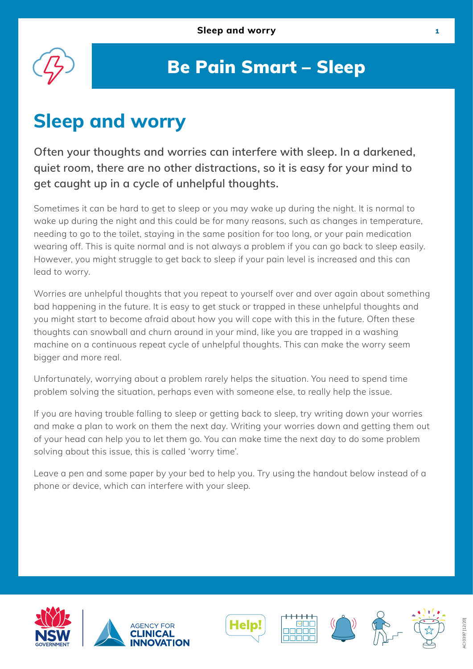

### Be Pain Smart – Sleep

# **Sleep and worry**

**Often your thoughts and worries can interfere with sleep. In a darkened, quiet room, there are no other distractions, so it is easy for your mind to get caught up in a cycle of unhelpful thoughts.**

Sometimes it can be hard to get to sleep or you may wake up during the night. It is normal to wake up during the night and this could be for many reasons, such as changes in temperature, needing to go to the toilet, staying in the same position for too long, or your pain medication wearing off. This is quite normal and is not always a problem if you can go back to sleep easily. However, you might struggle to get back to sleep if your pain level is increased and this can lead to worry.

Worries are unhelpful thoughts that you repeat to yourself over and over again about something bad happening in the future. It is easy to get stuck or trapped in these unhelpful thoughts and you might start to become afraid about how you will cope with this in the future. Often these thoughts can snowball and churn around in your mind, like you are trapped in a washing machine on a continuous repeat cycle of unhelpful thoughts. This can make the worry seem bigger and more real.

Unfortunately, worrying about a problem rarely helps the situation. You need to spend time problem solving the situation, perhaps even with someone else, to really help the issue.

If you are having trouble falling to sleep or getting back to sleep, try writing down your worries and make a plan to work on them the next day. Writing your worries down and getting them out of your head can help you to let them go. You can make time the next day to do some problem solving about this issue, this is called 'worry time'.

Leave a pen and some paper by your bed to help you. Try using the handout below instead of a phone or device, which can interfere with your sleep.











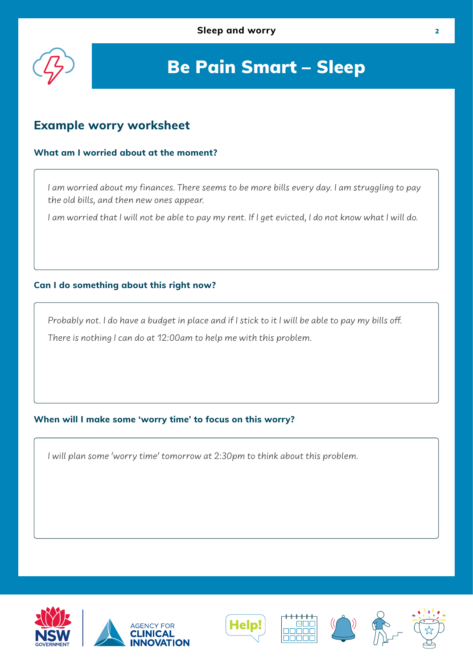

## Be Pain Smart – Sleep

### **Example worry worksheet**

#### **What am I worried about at the moment?**

I am worried about my finances. There seems to be more bills every day. I am struggling to pay the old bills, and then new ones appear.

I am worried that I will not be able to pay my rent. If I get evicted, I do not know what I will do.

#### **Can I do something about this right now?**

Probably not. I do have a budget in place and if I stick to it I will be able to pay my bills off. There is nothing I can do at 12:00am to help me with this problem.

#### **When will I make some 'worry time' to focus on this worry?**

I will plan some 'worry time' tomorrow at 2:30pm to think about this problem.